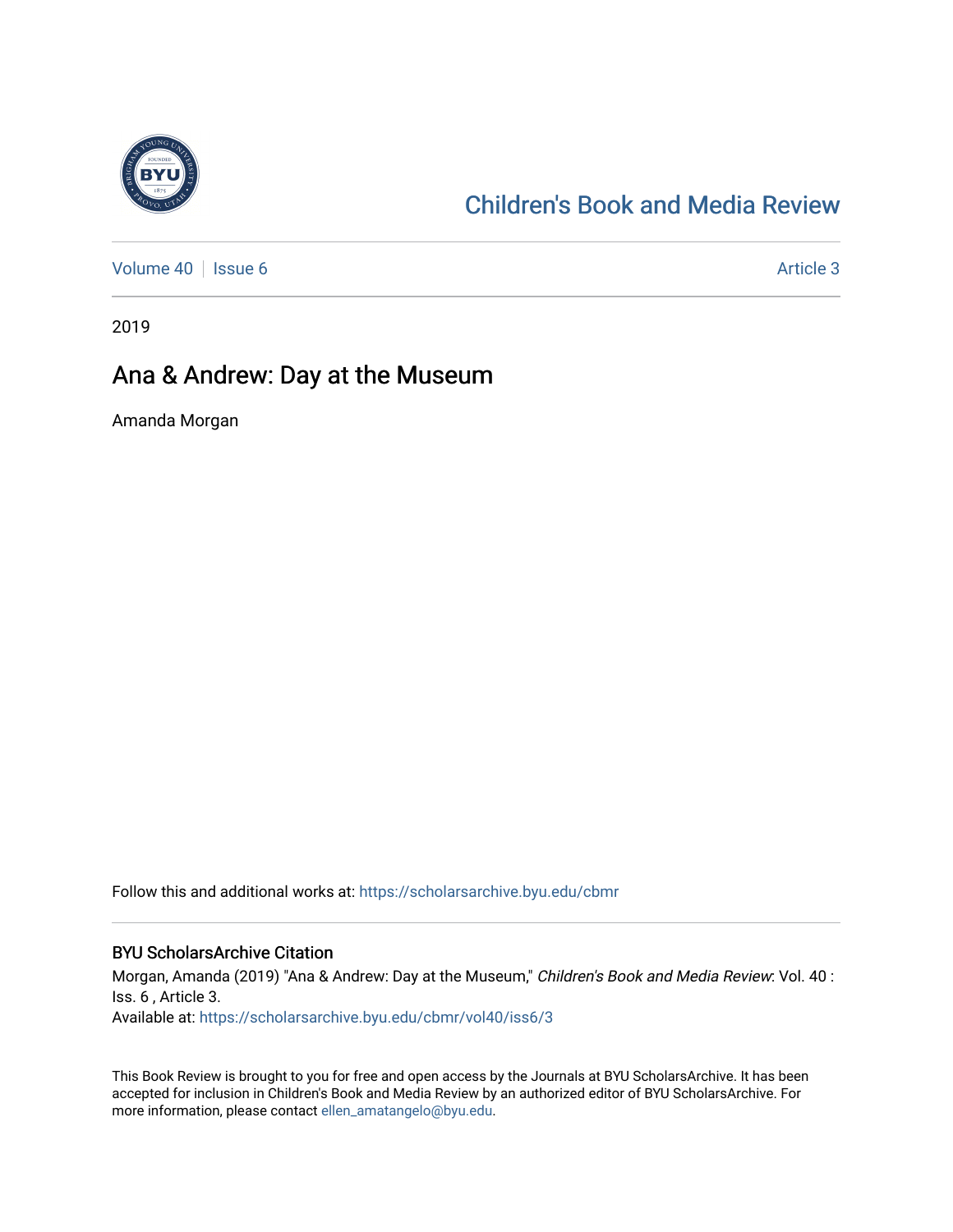

### [Children's Book and Media Review](https://scholarsarchive.byu.edu/cbmr)

[Volume 40](https://scholarsarchive.byu.edu/cbmr/vol40) | [Issue 6](https://scholarsarchive.byu.edu/cbmr/vol40/iss6) Article 3

2019

#### Ana & Andrew: Day at the Museum

Amanda Morgan

Follow this and additional works at: [https://scholarsarchive.byu.edu/cbmr](https://scholarsarchive.byu.edu/cbmr?utm_source=scholarsarchive.byu.edu%2Fcbmr%2Fvol40%2Fiss6%2F3&utm_medium=PDF&utm_campaign=PDFCoverPages) 

#### BYU ScholarsArchive Citation

Morgan, Amanda (2019) "Ana & Andrew: Day at the Museum," Children's Book and Media Review: Vol. 40 : Iss. 6 , Article 3. Available at: [https://scholarsarchive.byu.edu/cbmr/vol40/iss6/3](https://scholarsarchive.byu.edu/cbmr/vol40/iss6/3?utm_source=scholarsarchive.byu.edu%2Fcbmr%2Fvol40%2Fiss6%2F3&utm_medium=PDF&utm_campaign=PDFCoverPages) 

This Book Review is brought to you for free and open access by the Journals at BYU ScholarsArchive. It has been accepted for inclusion in Children's Book and Media Review by an authorized editor of BYU ScholarsArchive. For more information, please contact [ellen\\_amatangelo@byu.edu.](mailto:ellen_amatangelo@byu.edu)